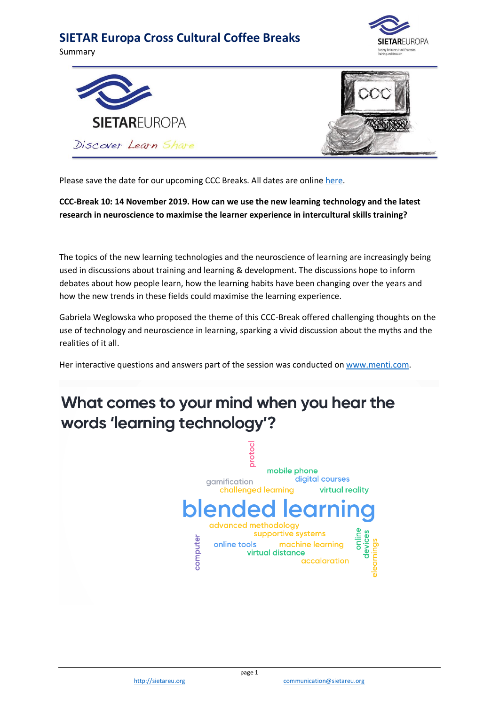Summary







Please save the date for our upcoming CCC Breaks. All dates are online [here.](https://www.sietareu.org/activities/cross-cultural-coffee-breaks)

**CCC-Break 10: 14 November 2019. How can we use the new learning technology and the latest research in neuroscience to maximise the learner experience in intercultural skills training?**

The topics of the new learning technologies and the neuroscience of learning are increasingly being used in discussions about training and learning & development. The discussions hope to inform debates about how people learn, how the learning habits have been changing over the years and how the new trends in these fields could maximise the learning experience.

Gabriela Weglowska who proposed the theme of this CCC-Break offered challenging thoughts on the use of technology and neuroscience in learning, sparking a vivid discussion about the myths and the realities of it all.

Her interactive questions and answers part of the session was conducted on [www.menti.com.](http://www.menti.com/)

# What comes to your mind when you hear the words 'learning technology'?

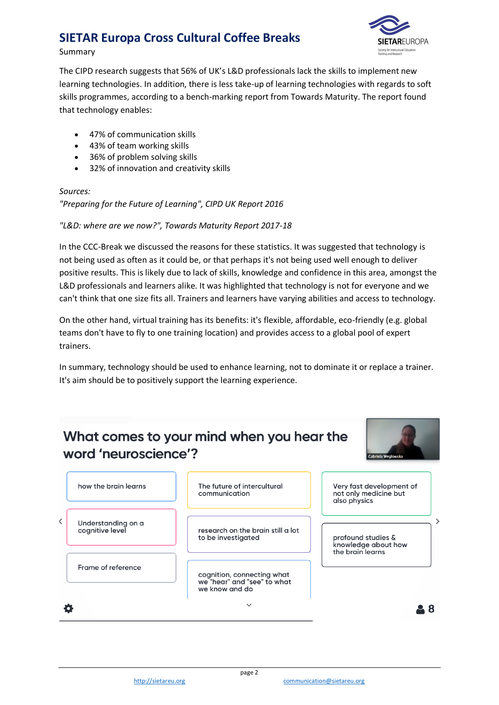#### Summary



The CIPD research suggests that 56% of UK's L&D professionals lack the skills to implement new learning technologies. In addition, there is less take-up of learning technologies with regards to soft skills programmes, according to a bench-marking report from Towards Maturity. The report found that technology enables:

- 47% of communication skills
- 43% of team working skills
- 36% of problem solving skills
- 32% of innovation and creativity skills

#### *Sources:*

*"Preparing for the Future of Learning", CIPD UK Report 2016*

*"L&D: where are we now?", Towards Maturity Report 2017-18*

In the CCC-Break we discussed the reasons for these statistics. It was suggested that technology is not being used as often as it could be, or that perhaps it's not being used well enough to deliver positive results. This is likely due to lack of skills, knowledge and confidence in this area, amongst the L&D professionals and learners alike. It was highlighted that technology is not for everyone and we can't think that one size fits all. Trainers and learners have varying abilities and access to technology.

On the other hand, virtual training has its benefits: it's flexible, affordable, eco-friendly (e.g. global teams don't have to fly to one training location) and provides access to a global pool of expert trainers.

In summary, technology should be used to enhance learning, not to dominate it or replace a trainer. It's aim should be to positively support the learning experience.

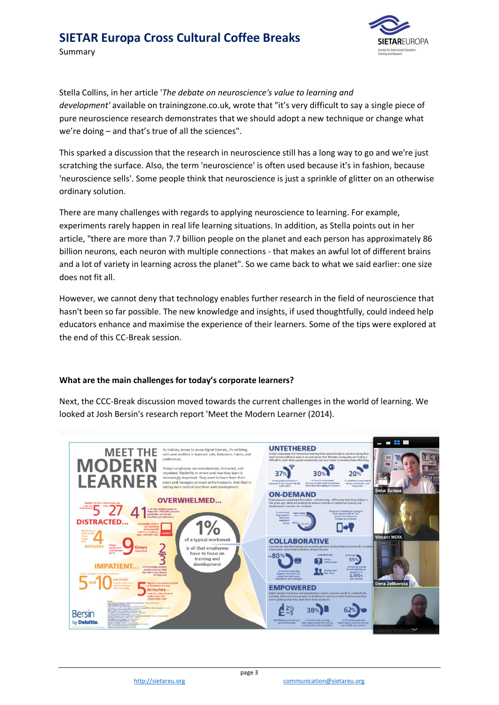Summary



Stella Collins, in her article '*The debate on neuroscience's value to learning and development'* available on trainingzone.co.uk, wrote that "it's very difficult to say a single piece of pure neuroscience research demonstrates that we should adopt a new technique or change what we're doing – and that's true of all the sciences".

This sparked a discussion that the research in neuroscience still has a long way to go and we're just scratching the surface. Also, the term 'neuroscience' is often used because it's in fashion, because 'neuroscience sells'. Some people think that neuroscience is just a sprinkle of glitter on an otherwise ordinary solution.

There are many challenges with regards to applying neuroscience to learning. For example, experiments rarely happen in real life learning situations. In addition, as Stella points out in her article, "there are more than 7.7 billion people on the planet and each person has approximately 86 billion neurons, each neuron with multiple connections - that makes an awful lot of different brains and a lot of variety in learning across the planet". So we came back to what we said earlier: one size does not fit all.

However, we cannot deny that technology enables further research in the field of neuroscience that hasn't been so far possible. The new knowledge and insights, if used thoughtfully, could indeed help educators enhance and maximise the experience of their learners. Some of the tips were explored at the end of this CC-Break session.

#### **What are the main challenges for today's corporate learners?**

Next, the CCC-Break discussion moved towards the current challenges in the world of learning. We looked at Josh Bersin's research report 'Meet the Modern Learner (2014).

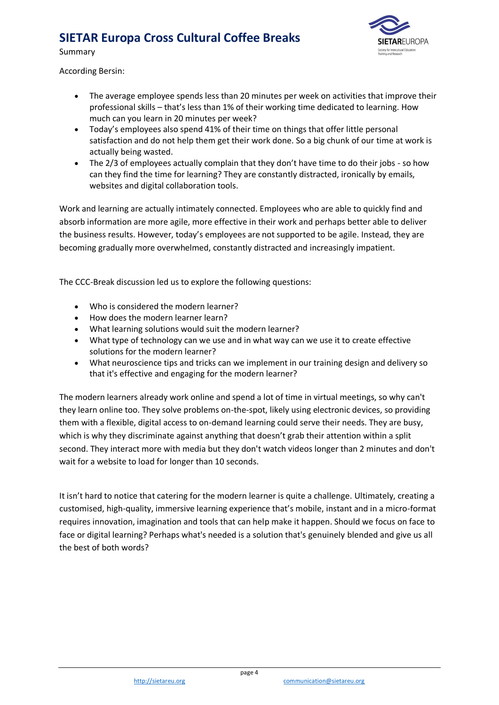

Summary

According Bersin:

- The average employee spends less than 20 minutes per week on activities that improve their professional skills – that's less than 1% of their working time dedicated to learning. How much can you learn in 20 minutes per week?
- Today's employees also spend 41% of their time on things that offer little personal satisfaction and do not help them get their work done. So a big chunk of our time at work is actually being wasted.
- The 2/3 of employees actually complain that they don't have time to do their jobs so how can they find the time for learning? They are constantly distracted, ironically by emails, websites and digital collaboration tools.

Work and learning are actually intimately connected. Employees who are able to quickly find and absorb information are more agile, more effective in their work and perhaps better able to deliver the business results. However, today's employees are not supported to be agile. Instead, they are becoming gradually more overwhelmed, constantly distracted and increasingly impatient.

The CCC-Break discussion led us to explore the following questions:

- Who is considered the modern learner?
- How does the modern learner learn?
- What learning solutions would suit the modern learner?
- What type of technology can we use and in what way can we use it to create effective solutions for the modern learner?
- What neuroscience tips and tricks can we implement in our training design and delivery so that it's effective and engaging for the modern learner?

The modern learners already work online and spend a lot of time in virtual meetings, so why can't they learn online too. They solve problems on-the-spot, likely using electronic devices, so providing them with a flexible, digital access to on-demand learning could serve their needs. They are busy, which is why they discriminate against anything that doesn't grab their attention within a split second. They interact more with media but they don't watch videos longer than 2 minutes and don't wait for a website to load for longer than 10 seconds.

It isn't hard to notice that catering for the modern learner is quite a challenge. Ultimately, creating a customised, high-quality, immersive learning experience that's mobile, instant and in a micro-format requires innovation, imagination and tools that can help make it happen. Should we focus on face to face or digital learning? Perhaps what's needed is a solution that's genuinely blended and give us all the best of both words?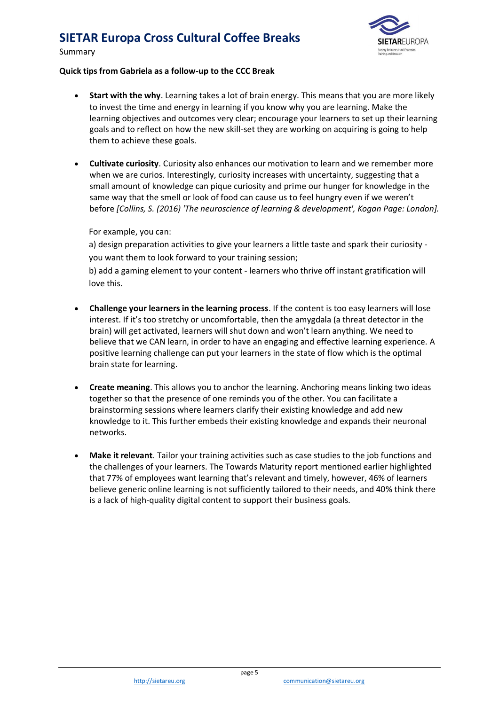Summary



#### **Quick tips from Gabriela as a follow-up to the CCC Break**

- **Start with the why**. Learning takes a lot of brain energy. This means that you are more likely to invest the time and energy in learning if you know why you are learning. Make the learning objectives and outcomes very clear; encourage your learners to set up their learning goals and to reflect on how the new skill-set they are working on acquiring is going to help them to achieve these goals.
- **Cultivate curiosity**. Curiosity also enhances our motivation to learn and we remember more when we are curios. Interestingly, curiosity increases with uncertainty, suggesting that a small amount of knowledge can pique curiosity and prime our hunger for knowledge in the same way that the smell or look of food can cause us to feel hungry even if we weren't before *[Collins, S. (2016) 'The neuroscience of learning & development', Kogan Page: London].*

#### For example, you can:

a) design preparation activities to give your learners a little taste and spark their curiosity you want them to look forward to your training session;

b) add a gaming element to your content - learners who thrive off instant gratification will love this.

- **Challenge your learners in the learning process**. If the content is too easy learners will lose interest. If it's too stretchy or uncomfortable, then the amygdala (a threat detector in the brain) will get activated, learners will shut down and won't learn anything. We need to believe that we CAN learn, in order to have an engaging and effective learning experience. A positive learning challenge can put your learners in the state of flow which is the optimal brain state for learning.
- **Create meaning**. This allows you to anchor the learning. Anchoring means linking two ideas together so that the presence of one reminds you of the other. You can facilitate a brainstorming sessions where learners clarify their existing knowledge and add new knowledge to it. This further embeds their existing knowledge and expands their neuronal networks.
- **Make it relevant**. Tailor your training activities such as case studies to the job functions and the challenges of your learners. The Towards Maturity report mentioned earlier highlighted that 77% of employees want learning that's relevant and timely, however, 46% of learners believe generic online learning is not sufficiently tailored to their needs, and 40% think there is a lack of high-quality digital content to support their business goals.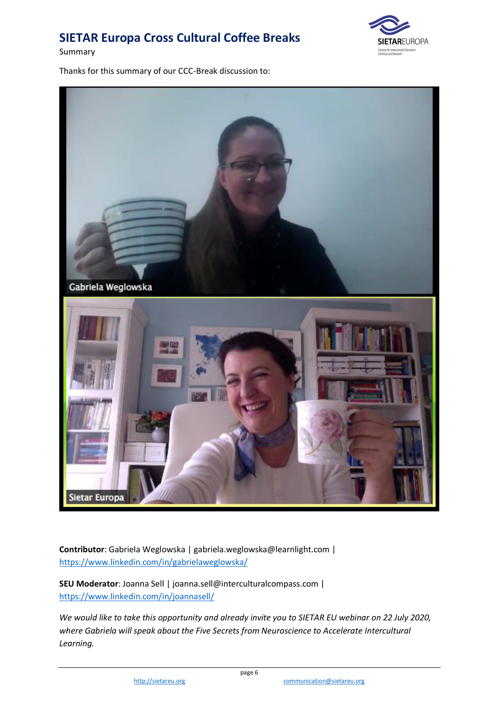Summary



Thanks for this summary of our CCC-Break discussion to:



**Contributor**: Gabriela Weglowska | gabriela.weglowska@learnlight.com | <https://www.linkedin.com/in/gabrielaweglowska/>

**SEU Moderator**: Joanna Sell | joanna.sell@interculturalcompass.com | <https://www.linkedin.com/in/joannasell/>

*We would like to take this opportunity and already invite you to SIETAR EU webinar on 22 July 2020, where Gabriela will speak about the Five Secrets from Neuroscience to Accelerate Intercultural Learning.*